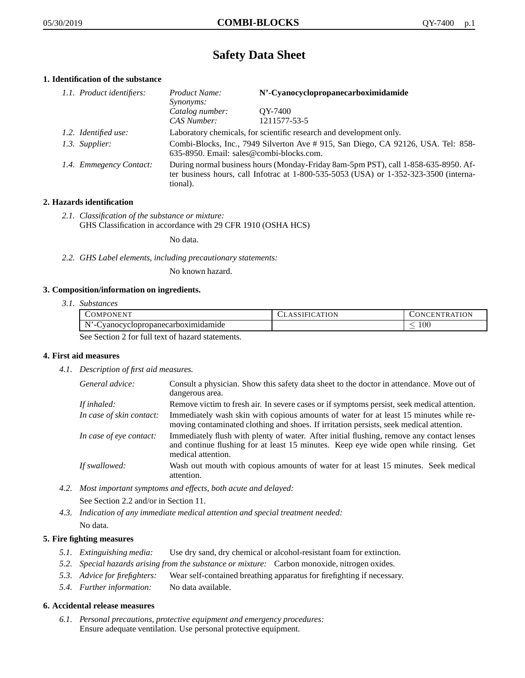# **Safety Data Sheet**

# **1. Identification of the substance**

| 1.1. Product identifiers: | Product Name:<br>Synonyms:                                                                                                                                                                  | N'-Cyanocyclopropanecarboximidamide |
|---------------------------|---------------------------------------------------------------------------------------------------------------------------------------------------------------------------------------------|-------------------------------------|
|                           | Catalog number:<br>CAS Number:                                                                                                                                                              | OY-7400<br>1211577-53-5             |
| 1.2. Identified use:      | Laboratory chemicals, for scientific research and development only.                                                                                                                         |                                     |
| 1.3. Supplier:            | Combi-Blocks, Inc., 7949 Silverton Ave # 915, San Diego, CA 92126, USA. Tel: 858-<br>635-8950. Email: sales@combi-blocks.com.                                                               |                                     |
| 1.4. Emmegency Contact:   | During normal business hours (Monday-Friday 8am-5pm PST), call 1-858-635-8950. Af-<br>ter business hours, call Infotrac at $1-800-535-5053$ (USA) or $1-352-323-3500$ (interna-<br>tional). |                                     |

# **2. Hazards identification**

*2.1. Classification of the substance or mixture:* GHS Classification in accordance with 29 CFR 1910 (OSHA HCS)

No data.

*2.2. GHS Label elements, including precautionary statements:*

No known hazard.

# **3. Composition/information on ingredients.**

*3.1. Substances*

| COMPONENT                                         | <b>CLASSIFICATION</b> | <b>CONCENTRATION</b> |
|---------------------------------------------------|-----------------------|----------------------|
| N'<br>vanocyclopropanecarboximidamide_<br>$-1$    |                       | $100\,$              |
| See Section 2 fee full tout of horsend statements |                       |                      |

See Section 2 for full text of hazard statements.

# **4. First aid measures**

*4.1. Description of first aid measures.*

| General advice:          | Consult a physician. Show this safety data sheet to the doctor in attendance. Move out of<br>dangerous area.                                                                                            |
|--------------------------|---------------------------------------------------------------------------------------------------------------------------------------------------------------------------------------------------------|
| If inhaled:              | Remove victim to fresh air. In severe cases or if symptoms persist, seek medical attention.                                                                                                             |
| In case of skin contact: | Immediately wash skin with copious amounts of water for at least 15 minutes while re-<br>moving contaminated clothing and shoes. If irritation persists, seek medical attention.                        |
| In case of eye contact:  | Immediately flush with plenty of water. After initial flushing, remove any contact lenses<br>and continue flushing for at least 15 minutes. Keep eye wide open while rinsing. Get<br>medical attention. |
| If swallowed:            | Wash out mouth with copious amounts of water for at least 15 minutes. Seek medical<br>attention.                                                                                                        |

*4.2. Most important symptoms and effects, both acute and delayed:* See Section 2.2 and/or in Section 11.

*4.3. Indication of any immediate medical attention and special treatment needed:* No data.

# **5. Fire fighting measures**

- *5.1. Extinguishing media:* Use dry sand, dry chemical or alcohol-resistant foam for extinction.
- *5.2. Special hazards arising from the substance or mixture:* Carbon monoxide, nitrogen oxides.
- *5.3. Advice for firefighters:* Wear self-contained breathing apparatus for firefighting if necessary.
- *5.4. Further information:* No data available.

# **6. Accidental release measures**

*6.1. Personal precautions, protective equipment and emergency procedures:* Ensure adequate ventilation. Use personal protective equipment.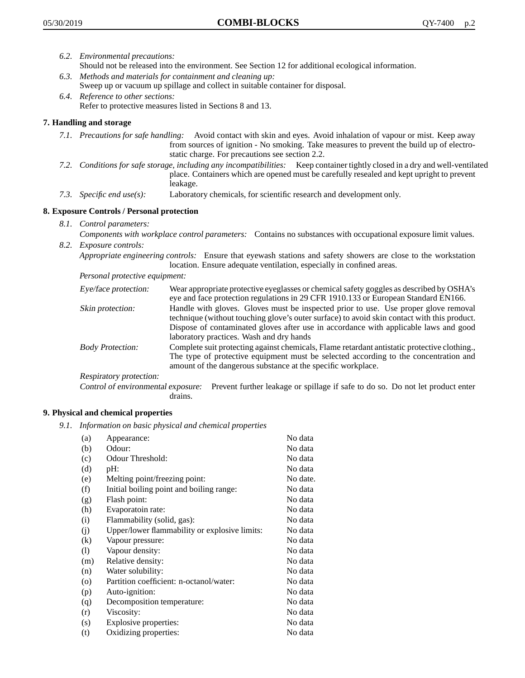- *6.2. Environmental precautions:* Should not be released into the environment. See Section 12 for additional ecological information.
- *6.3. Methods and materials for containment and cleaning up:* Sweep up or vacuum up spillage and collect in suitable container for disposal.
- *6.4. Reference to other sections:* Refer to protective measures listed in Sections 8 and 13.

# **7. Handling and storage**

- *7.1. Precautions for safe handling:* Avoid contact with skin and eyes. Avoid inhalation of vapour or mist. Keep away from sources of ignition - No smoking. Take measures to prevent the build up of electrostatic charge. For precautions see section 2.2.
- *7.2. Conditions for safe storage, including any incompatibilities:* Keep container tightly closed in a dry and well-ventilated place. Containers which are opened must be carefully resealed and kept upright to prevent leakage.
- *7.3. Specific end use(s):* Laboratory chemicals, for scientific research and development only.

# **8. Exposure Controls / Personal protection**

- *8.1. Control parameters:*
- *Components with workplace control parameters:* Contains no substances with occupational exposure limit values. *8.2. Exposure controls:*

*Appropriate engineering controls:* Ensure that eyewash stations and safety showers are close to the workstation location. Ensure adequate ventilation, especially in confined areas.

*Personal protective equipment:*

| Eye/face protection:    | Wear appropriate protective eyeglasses or chemical safety goggles as described by OSHA's<br>eye and face protection regulations in 29 CFR 1910.133 or European Standard EN166.                                                                                                                                         |
|-------------------------|------------------------------------------------------------------------------------------------------------------------------------------------------------------------------------------------------------------------------------------------------------------------------------------------------------------------|
| Skin protection:        | Handle with gloves. Gloves must be inspected prior to use. Use proper glove removal<br>technique (without touching glove's outer surface) to avoid skin contact with this product.<br>Dispose of contaminated gloves after use in accordance with applicable laws and good<br>laboratory practices. Wash and dry hands |
| <b>Body Protection:</b> | Complete suit protecting against chemicals, Flame retardant antistatic protective clothing.,<br>The type of protective equipment must be selected according to the concentration and<br>amount of the dangerous substance at the specific workplace.                                                                   |
| Respiratory protection: |                                                                                                                                                                                                                                                                                                                        |

Control of environmental exposure: Prevent further leakage or spillage if safe to do so. Do not let product enter drains.

# **9. Physical and chemical properties**

*9.1. Information on basic physical and chemical properties*

| (a)               | Appearance:                                   | No data  |
|-------------------|-----------------------------------------------|----------|
| (b)               | Odour:                                        | No data  |
| (c)               | Odour Threshold:                              | No data  |
| (d)               | pH:                                           | No data  |
| (e)               | Melting point/freezing point:                 | No date. |
| (f)               | Initial boiling point and boiling range:      | No data  |
| (g)               | Flash point:                                  | No data  |
| (h)               | Evaporatoin rate:                             | No data  |
| (i)               | Flammability (solid, gas):                    | No data  |
| (j)               | Upper/lower flammability or explosive limits: | No data  |
| $\left( k\right)$ | Vapour pressure:                              | No data  |
| (1)               | Vapour density:                               | No data  |
| (m)               | Relative density:                             | No data  |
| (n)               | Water solubility:                             | No data  |
| $\circ$           | Partition coefficient: n-octanol/water:       | No data  |
| (p)               | Auto-ignition:                                | No data  |
| (q)               | Decomposition temperature:                    | No data  |
| (r)               | Viscosity:                                    | No data  |
| (s)               | Explosive properties:                         | No data  |
| (t)               | Oxidizing properties:                         | No data  |